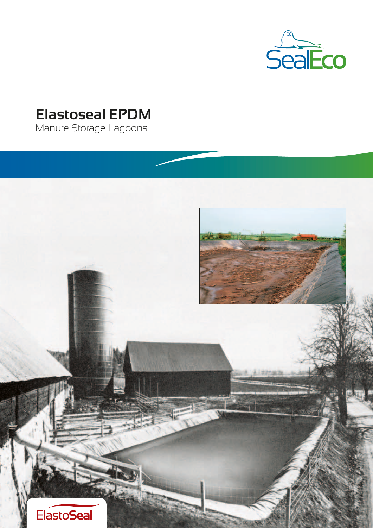

# **Elastoseal EPDM**

Manure Storage Lagoons

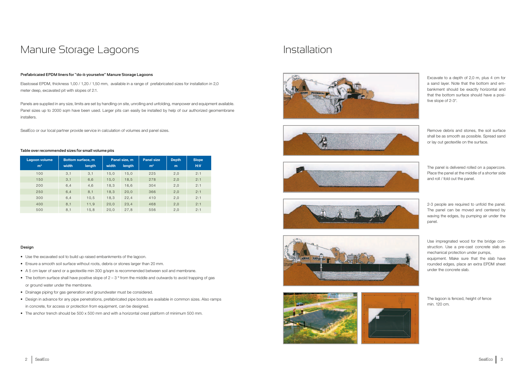# **Prefabricated EPDM liners for "do-it-yourselve" Manure Storage Lagoons**

Elastoseal EPDM, thickness 1,00 / 1,20 / 1,50 mm, available in a range of prefabricated sizes for installation in 2,0 meter deep, excavated pit with slopes of 2:1.

- Use the excavated soil to build up raised embankments of the lagoon.
- Ensure a smooth soil surface without roots, debris or stones larger than 20 mm.
- A 5 cm layer of sand or a geotextile min 300 g/sqm is recommended between soil and membrane.
- The bottom surface shall have positive slope of  $2 3^\circ$  from the middle and outwards to avoid trapping of gas or ground water under the membrane.
- Drainage piping for gas generation and groundwater must be considered.
- Design in advance for any pipe penetrations, prefabricated pipe boots are available in common sizes. Also ramps in concrete, for access or protection from equipment, can be designed.
- The anchor trench should be 500 x 500 mm and with a horizontal crest platform of minimum 500 mm.

Panels are supplied in any size, limits are set by handling on site, unrolling and unfolding, manpower and equipment available. Panel sizes up to 2000 sqm have been used. Larger pits can easily be installed by help of our authorized geomembrane installers.

SealEco or our local partner provide service in calculation of volumes and panel sizes.

# Manure Storage Lagoons

### **Design**

# **Table over recommended sizes for small volume pits**

# Installation













Excavate to a depth of 2,0 m, plus 4 cm for a sand layer. Note that the bottom and embankment should be exactly horizontal and that the bottom surface should have a positive slope of 2-3°.

Remove debris and stones, the soil surface shall be as smooth as possible. Spread sand or lay out geotextile on the surface.

The panel is delivered rolled on a papercore. Place the panel at the middle of a shorter side and roll / fold out the panel.

2-3 people are required to unfold the panel. The panel can be moved and centered by waving the edges, by pumping air under the panel.

Use impregnated wood for the bridge construction. Use a pre-cast concrete slab as mechanical protection under pumps,

equipment. Make sure that the slab have rounded edges, place an extra EPDM sheet under the concrete slab.



The lagoon is fenced, height of fence min. 120 cm.

| Lagoon volume  | Bottom surface, m |        | Panel size, m |        | <b>Panel size</b> | <b>Depth</b> | Slope |
|----------------|-------------------|--------|---------------|--------|-------------------|--------------|-------|
| m <sup>3</sup> | width             | length | width         | length | m <sup>2</sup>    | m            | H:V   |
| 100            | 3,1               | 3,1    | 15,0          | 15,0   | 225               | 2,0          | 2:1   |
| 150            | 3,1               | 6,6    | 15,0          | 18, 5  | 278               | 2,0          | 2:1   |
| 200            | 6.4               | 4,6    | 18,3          | 16,6   | 304               | 2,0          | 2:1   |
| 250            | 6.4               | 8,1    | 18,3          | 20,0   | 366               | 2,0          | 2:1   |
| 300            | 6.4               | 10, 5  | 18,3          | 22, 4  | 410               | 2,0          | 2:1   |
| 400            | 8,1               | 11,9   | 20,0          | 23, 4  | 468               | 2,0          | 2:1   |
| 500            | 8.1               | 15.8   | 20,0          | 27,8   | 556               | 2.0          | 2:1   |